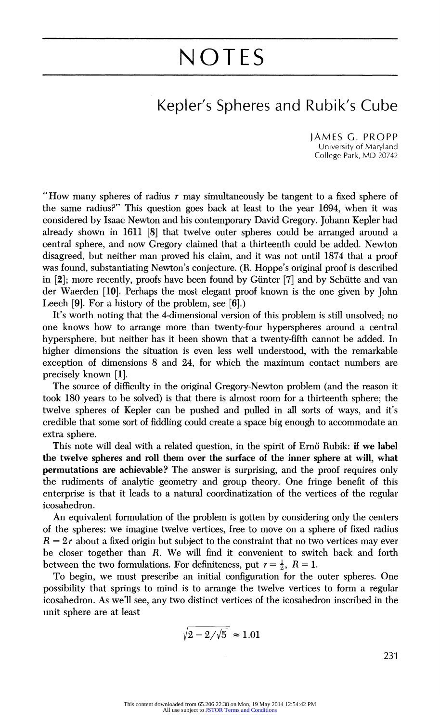## NOTES

## Kepler's Spheres and Rubik's Cube

JAMES G. PROPP University of Maryland College Park, MD 20742

"How many spheres of radius  $r$  may simultaneously be tangent to a fixed sphere of the same radius?" This question goes back at least to the year 1694, when it was considered by Isaac Newton and his contemporary David Gregory. Johann Kepler had already shown in 1611 [8] that twelve outer spheres could be arranged around a central sphere, and now Gregory claimed that a thirteenth could be added. Newton disagreed, but neither man proved his claim, and it was not until 1874 that a proof was found, substantiating Newton's conjecture. (R. Hoppe's original proof is described in [2]; more recently, proofs have been found by Giinter [7] and by Schiitte and van der Waerden [10]. Perhaps the most elegant proof known is the one given by John Leech [9]. For a history of the problem, see [6].)

It's worth noting that the 4-dimensional version of this problem is still unsolved; no one knows how to arrange more than twenty-four hyperspheres around a central hypersphere, but neither has it been shown that a twenty-fifth cannot be added. In higher dimensions the situation is even less well understood, with the remarkable exception of dimensions 8 and 24, for which the maximum contact numbers are precisely known [1].

The source of difficulty in the original Gregory-Newton problem (and the reason it took 180 years to be solved) is that there is almost room for a thirteenth sphere; the twelve spheres of Kepler can be pushed and pulled in all sorts of ways, and it's credible that some sort of fiddling could create a space big enough to accommodate an extra sphere.

This note will deal with a related question, in the spirit of Ernö Rubik: if we label the twelve spheres and roll them over the surface of the inner sphere at will, what permutations are achievable? The answer is surprising, and the proof requires only the rudiments of analytic geometry and group theory. One fringe benefit of this enterprise is that it leads to a natural coordinatization of the vertices of the regular icosahedron.

An equivalent formulation of the problem is gotten by considering only the centers of the spheres: we imagine twelve vertices, free to move on a sphere of fixed radius  $R = 2r$  about a fixed origin but subject to the constraint that no two vertices may ever be closer together than R. We will find it convenient to switch back and forth between the two formulations. For definiteness, put  $r = \frac{1}{2}$ ,  $R = 1$ .

To begin, we must prescribe an initial configuration for the outer spheres. One possibility that springs to mind is to arrange the twelve vertices to form a regular icosahedron. As we'll see, any two distinct vertices of the icosahedron inscribed in the unit sphere are at least

$$
\sqrt{2-2/\sqrt{5}} \approx 1.01
$$

231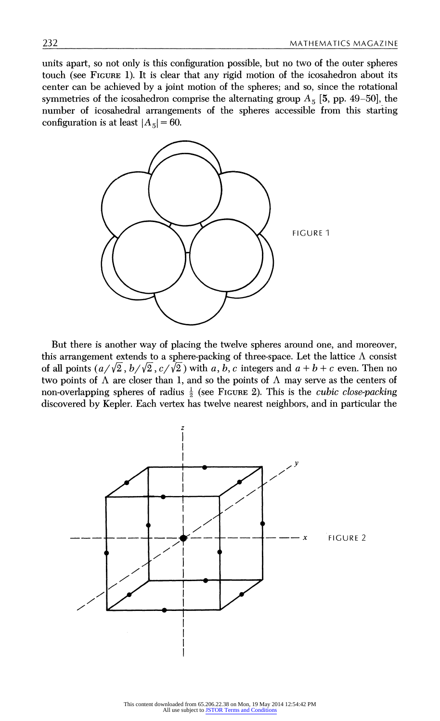units apart, so not only is this configuration possible, but no two of the outer spheres touch (see FIGURE 1). It is clear that any rigid motion of the icosahedron about its center can be achieved by a joint motion of the spheres; and so, since the rotational symmetries of the icosahedron comprise the alternating group  $A_5$  [5, pp. 49-50], the number of icosahedral arrangements of the spheres accessible from this starting configuration is at least  $|A_5| = 60$ .



But there is another way of placing the twelve spheres around one, and moreover, this arrangement extends to a sphere-packing of three-space. Let the lattice  $\Lambda$  consist of all points  $\left(\frac{a}{\sqrt{2}}, \frac{b}{\sqrt{2}}, \frac{c}{\sqrt{2}}\right)$  with a, b, c integers and  $a + b + c$  even. Then no two points of  $\Lambda$  are closer than 1, and so the points of  $\Lambda$  may serve as the centers of non-overlapping spheres of radius  $\frac{1}{2}$  (see FIGURE 2). This is the *cubic close-packing* discovered by Kepler. Each vertex has twelve nearest neighbors, and in particular the

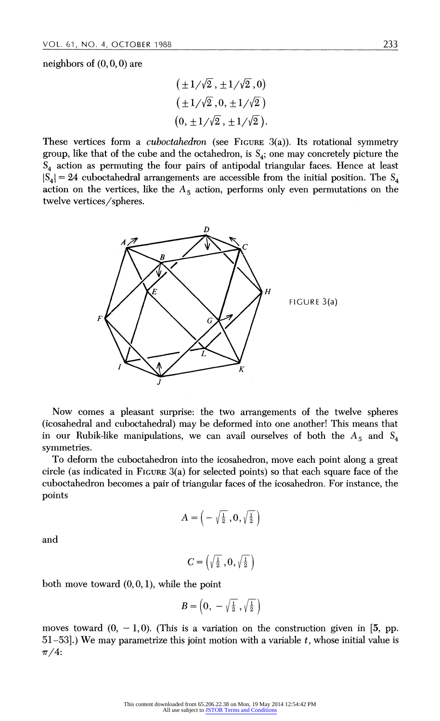neighbors of  $(0, 0, 0)$  are

$$
(\pm 1/\sqrt{2}, \pm 1/\sqrt{2}, 0)
$$
  

$$
(\pm 1/\sqrt{2}, 0, \pm 1/\sqrt{2})
$$
  

$$
(0, \pm 1/\sqrt{2}, \pm 1/\sqrt{2}).
$$

These vertices form a *cuboctahedron* (see FIGURE 3(a)). Its rotational symmetry group, like that of the cube and the octahedron, is  $S_4$ ; one may concretely picture the  $S_4$  action as permuting the four pairs of antipodal triangular faces. Hence at least  $|S_4| = 24$  cuboctahedral arrangements are accessible from the initial position. The  $S_4$ action on the vertices, like the  $A_5$  action, performs only even permutations on the twelve vertices/spheres.



Now comes a pleasant surprise: the two arrangements of the twelve spheres (icosahedral and cuboctahedral) may be deformed into one another! This means that in our Rubik-like manipulations, we can avail ourselves of both the  $A_5$  and  $S_4$ symmetries.

To deform the cuboctahedron into the icosahedron, move each point along a great circle (as indicated in FIGURE 3(a) for selected points) so that each square face of the cuboctahedron becomes a pair of triangular faces of the icosahedron. For instance, the points

$$
A=\left(-\sqrt{\tfrac{1}{2}}\ , 0,\sqrt{\tfrac{1}{2}}\,\right)
$$

and

$$
C = \left(\sqrt{\frac{1}{2}}, 0, \sqrt{\frac{1}{2}}\right)
$$

both move toward  $(0, 0, 1)$ , while the point

$$
B=\left(0,~-\sqrt{\tfrac{1}{2}}~, \sqrt{\tfrac{1}{2}}~\right)
$$

moves toward  $(0, -1, 0)$ . (This is a variation on the construction given in [5, pp.  $51-53$ .) We may parametrize this joint motion with a variable t, whose initial value is  $\pi/4$ :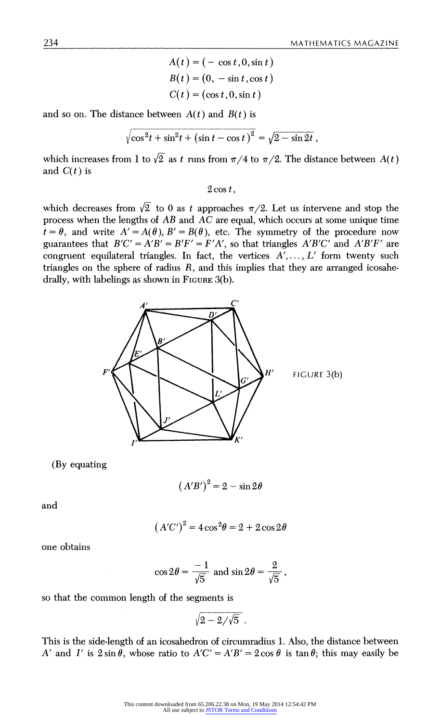$$
A(t) = (-\cos t, 0, \sin t)
$$
  
\n
$$
B(t) = (0, -\sin t, \cos t)
$$
  
\n
$$
C(t) = (\cos t, 0, \sin t)
$$

and so on. The distance between  $A(t)$  and  $B(t)$  is

$$
\sqrt{\cos^2 t + \sin^2 t + (\sin t - \cos t)^2} = \sqrt{2 - \sin 2t},
$$

which increases from 1 to  $\sqrt{2}$  as t runs from  $\pi/4$  to  $\pi/2$ . The distance between  $A(t)$ and  $C(t)$  is

 $2 \cos t$ ,

which decreases from  $\sqrt{2}$  to 0 as t approaches  $\pi/2$ . Let us intervene and stop the process when the lengths of  $\overline{AB}$  and  $\overline{AC}$  are equal, which occurs at some unique time  $t = \theta$ , and write  $A' = A(\theta), B' = B(\theta)$ , etc. The symmetry of the procedure now guarantees that  $B'C' = A'B' = B'F' = F'A'$ , so that triangles  $A'B'C'$  and  $A'B'F'$  are congruent equilateral triangles. In fact, the vertices  $A', \ldots, L'$  form twenty such triangles on the sphere of radius  $R$ , and this implies that they are arranged icosahedrally, with labelings as shown in FIGURE 3(b).



(By equating

$$
(A'B')^2 = 2 - \sin 2\theta
$$

and

$$
(A'C')^2 = 4\cos^2\theta = 2 + 2\cos 2\theta
$$

one obtains

$$
\cos 2\theta = \frac{-1}{\sqrt{5}} \text{ and } \sin 2\theta = \frac{2}{\sqrt{5}},
$$

so that the common length of the segments is

$$
\sqrt{2-2/\sqrt{5}}\;.
$$

This is the side-length of an icosahedron of circumradius 1. Also, the distance between A' and I' is  $2 \sin \theta$ , whose ratio to  $A'C' = A'B' = 2 \cos \theta$  is tan  $\theta$ ; this may easily be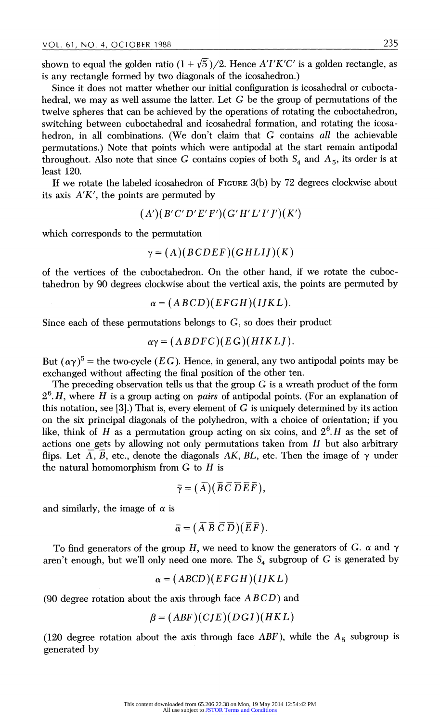shown to equal the golden ratio  $(1 + \sqrt{5})/2$ . Hence A'I'K'C' is a golden rectangle, as is any rectangle formed by two diagonals of the icosahedron.)

Since it does not matter whether our initial configuration is icosahedral or cuboctahedral, we may as well assume the latter. Let  $G$  be the group of permutations of the twelve spheres that can be achieved by the operations of rotating the cuboctahedron, switching between cuboctahedral and icosahedral formation, and rotating the icosahedron, in all combinations. (We don't claim that G contains all the achievable permutations.) Note that points which were antipodal at the start remain antipodal throughout. Also note that since G contains copies of both  $S_4$  and  $A_5$ , its order is at least 120.

If we rotate the labeled icosahedron of FIGURE 3(b) by 72 degrees clockwise about its axis  $A'K'$ , the points are permuted by

$$
(A')(B'C'D'E'F')(G'H'L'I'J')(K')
$$

which corresponds to the permutation

$$
\gamma = (A)(BCDEF)(GHLIJ)(K)
$$

of the vertices of the cuboctahedron. On the other hand, if we rotate the cuboctahedron by 90 degrees clockwise about the vertical axis, the points are permuted by

$$
\alpha = (ABCD)(EFGH)(IJKL).
$$

Since each of these permutations belongs to G, so does their product

$$
\alpha \gamma = (ABDFC)(EG)(HIKLI).
$$

But  $(\alpha \gamma)^5$  = the two-cycle (*EG*). Hence, in general, any two antipodal points may be exchanged without affecting the final position of the other ten.

The preceding observation tells us that the group  $G$  is a wreath product of the form  $2<sup>6</sup>$ . H, where H is a group acting on *pairs* of antipodal points. (For an explanation of this notation, see [3].) That is, every element of  $G$  is uniquely determined by its action on the six principal diagonals of the polyhedron, with a choice of orientation; if you like, think of H as a permutation group acting on six coins, and  $2<sup>6</sup>$ . H as the set of actions one gets by allowing not only permutations taken from  $H$  but also arbitrary flips. Let A, B, etc., denote the diagonals AK, BL, etc. Then the image of  $\gamma$  under the natural homomorphism from  $G$  to  $H$  is

$$
\bar{\gamma} = (\bar{A})(\bar{B}\bar{C}\bar{D}\bar{E}\bar{F}),
$$

and similarly, the image of  $\alpha$  is

$$
\overline{\alpha} = (\overline{A}\ \overline{B}\ \overline{C}\ \overline{D})(\overline{E}\ \overline{F}).
$$

To find generators of the group H, we need to know the generators of G.  $\alpha$  and  $\gamma$ aren't enough, but we'll only need one more. The  $S_4$  subgroup of G is generated by

$$
\alpha = (ABCD)(EFGH)(IJKL)
$$

(90 degree rotation about the axis through face  $ABCD$ ) and

$$
\beta = (ABF)(CJE)(DGI)(HKL)
$$

(120 degree rotation about the axis through face ABF), while the  $A_5$  subgroup is generated by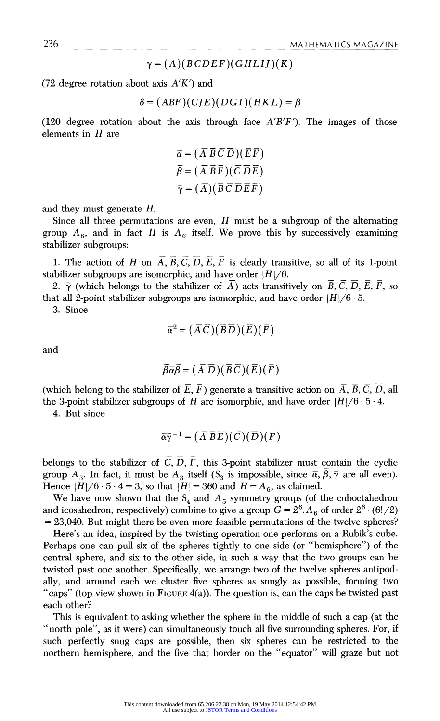$$
\gamma = (A)(BCDEF)(GHLIJ)(K)
$$

(72 degree rotation about axis  $A'K'$ ) and

$$
\delta = (ABF)(CJE)(DGI)(HKL) = \beta
$$

(120 degree rotation about the axis through face  $A'B'F'$ ). The images of those elements in  $H$  are

$$
\overline{\alpha} = (\overline{A} \ \overline{B} \ \overline{C} \ \overline{D})(\overline{E} \ \overline{F}) \n\overline{\beta} = (\overline{A} \ \overline{B} \ \overline{F})(\overline{C} \ \overline{D} \ \overline{E}) \n\overline{\gamma} = (\overline{A})(\overline{B} \ \overline{C} \ \overline{D} \ \overline{E} \ \overline{F})
$$

and they must generate H.

Since all three permutations are even,  $H$  must be a subgroup of the alternating group  $A_6$ , and in fact H is  $A_6$  itself. We prove this by successively examining stabilizer subgroups:

1. The action of H on  $\overline{A}$ ,  $\overline{B}$ ,  $\overline{C}$ ,  $\overline{D}$ ,  $\overline{E}$ ,  $\overline{F}$  is clearly transitive, so all of its 1-point stabilizer subgroups are isomorphic, and have order  $|H|/6$ .

2.  $\bar{\gamma}$  (which belongs to the stabilizer of A) acts transitively on  $\bar{B}$ ,  $\bar{C}$ ,  $\bar{D}$ ,  $\bar{E}$ ,  $\bar{F}$ , so that all 2-point stabilizer subgroups are isomorphic, and have order  $|H|/6 \cdot 5$ .

3. Since

$$
\overline{\alpha}^2 = (\overline{A}\,\overline{C})(\overline{B}\,\overline{D})(\overline{E})(\overline{F})
$$

and

$$
\overline{\beta}\overline{\alpha}\overline{\beta}=(\overline{A}\ \overline{D})(\overline{B}\ \overline{C})(\overline{E})(\overline{F})
$$

(which belong to the stabilizer of  $\overline{E}$ ,  $\overline{F}$ ) generate a transitive action on  $\overline{A}$ ,  $\overline{B}$ ,  $\overline{C}$ ,  $\overline{D}$ , all the 3-point stabilizer subgroups of H are isomorphic, and have order  $|H|/6 \cdot 5 \cdot 4$ .

4. But since

$$
\overline{\alpha}\overline{\gamma}^{-1}=(\overline{A}\ \overline{B}\ \overline{E})(\overline{C})(\overline{D})(\overline{F})
$$

belongs to the stabilizer of  $\overline{C}$ ,  $\overline{D}$ ,  $\overline{F}$ , this 3-point stabilizer must contain the cyclic group  $A_3$ . In fact, it must be  $A_3$  itself  $(S_3$  is impossible, since  $\overline{\alpha}, \overline{\beta}, \overline{\gamma}$  are all even). Hence  $|H|/6 \cdot 5 \cdot 4 = 3$ , so that  $|H| = 360$  and  $H = A_6$ , as claimed.

We have now shown that the  $S_4$  and  $A_5$  symmetry groups (of the cuboctahedron and icosahedron, respectively) combine to give a group  $G = 2^6$ . A<sub>6</sub> of order  $2^6 \cdot (6!/2)$  $=23,040$ . But might there be even more feasible permutations of the twelve spheres?

Here's an idea, inspired by the twisting operation one performs on a Rubik's cube. Perhaps one can pull six of the spheres tightly to one side (or "hemisphere") of the central sphere, and six to the other side, in such a way that the two groups can be twisted past one another. Specifically, we arrange two of the twelve spheres antipodally, and around each we cluster five spheres as snugly as possible, forming two "caps" (top view shown in FIGURE  $4(a)$ ). The question is, can the caps be twisted past each other?

This is equivalent to asking whether the sphere in the middle of such a cap (at the " north pole", as it were) can simultaneously touch all five surrounding spheres. For, if such perfectly snug caps are possible, then six spheres can be restricted to the northern hemisphere, and the five that border on the "equator" will graze but not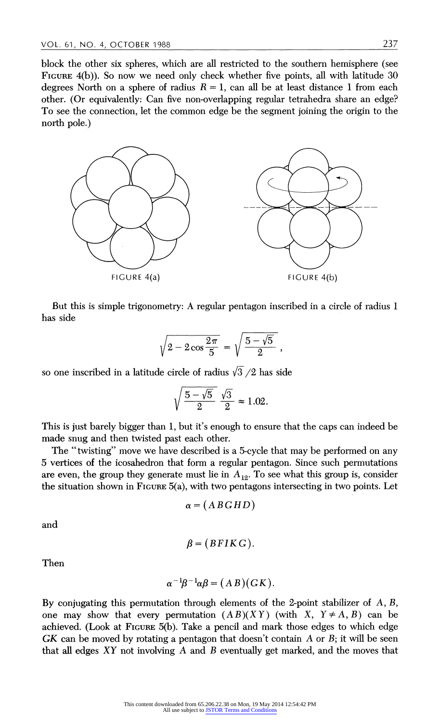block the other six spheres, which are all restricted to the southern hemisphere (see FIGURE  $4(b)$ ). So now we need only check whether five points, all with latitude 30 degrees North on a sphere of radius  $R = 1$ , can all be at least distance 1 from each other. (Or equivalently: Can five non-overlapping regular tetrahedra share an edge? To see the connection, let the common edge be the segment joining the origin to the north pole.)



But this is simple trigonometry: A regular pentagon inscribed in a circle of radius 1 has side

$$
\sqrt{2 - 2\cos\frac{2\pi}{5}} = \sqrt{\frac{5 - \sqrt{5}}{2}} ,
$$

so one inscribed in a latitude circle of radius  $\sqrt{3}/2$  has side

$$
\sqrt{\frac{5-\sqrt{5}}{2}} \frac{\sqrt{3}}{2} \approx 1.02.
$$

This is just barely bigger than 1, but it's enough to ensure that the caps can indeed be made snug and then twisted past each other.

The "twisting") move we have described is a 5-cycle that may be performed on any 5 vertices of the icosahedron that form a regular pentagon. Since such permutations are even, the group they generate must lie in  $A_{12}$ . To see what this group is, consider the situation shown in FIGURE 5(a), with two pentagons intersecting in two points. Let

$$
\alpha = (ABGHD)
$$

and

$$
\beta = (BFIKG).
$$

Then

$$
\alpha^{-1}\beta^{-1}\alpha\beta = (AB)(GK).
$$

By conjugating this permutation through elements of the 2-point stabilizer of  $A, B$ , one may show that every permutation  $(AB)(XY)$  (with X,  $Y \neq A, B$ ) can be achieved. (Look at FIGURE 5(b). Take a pencil and mark those edges to which edge GK can be moved by rotating a pentagon that doesn't contain A or  $B_i$ ; it will be seen that all edges XY not involving A and B eventually get marked, and the moves that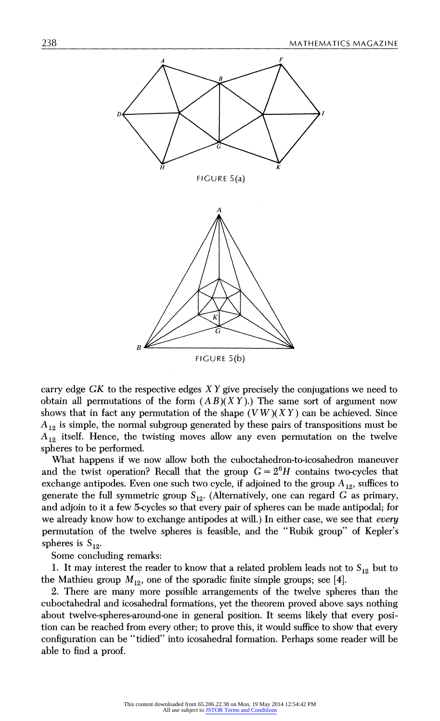

carry edge GK to the respective edges  $XY$  give precisely the conjugations we need to obtain all permutations of the form  $(AB)(XY)$ .) The same sort of argument now shows that in fact any permutation of the shape  $(VW)(XY)$  can be achieved. Since  $A_{12}$  is simple, the normal subgroup generated by these pairs of transpositions must be  $A_{12}$  itself. Hence, the twisting moves allow any even permutation on the twelve spheres to be performed.

What happens if we now allow both the cuboctahedron-to-icosahedron maneuver and the twist operation? Recall that the group  $G = 2<sup>6</sup>H$  contains two-cycles that exchange antipodes. Even one such two cycle, if adjoined to the group  $A_{12}$ , suffices to generate the full symmetric group  $S_{12}$ . (Alternatively, one can regard G as primary, and adjoin to it a few 5-cycles so that every pair of spheres can be made antipodal; for we already know how to exchange antipodes at will.) In either case, we see that every permutation of the twelve spheres is feasible, and the "Rubik group" of Kepler's spheres is  $S_{12}$ .

Some concluding remarks:

1. It may interest the reader to know that a related problem leads not to  $S_{12}$  but to the Mathieu group  $M_{12}$ , one of the sporadic finite simple groups; see [4].

2. There are many more possible arrangements of the twelve spheres than the cuboctahedral and icosahedral formations, yet the theorem proved above says nothing about twelve-spheres-around-one in general position. It seems likely that every position can be reached from every other; to prove this, it would suffice to show that every configuration can be "tidied" into icosahedral formation. Perhaps some reader will be able to find a proof.